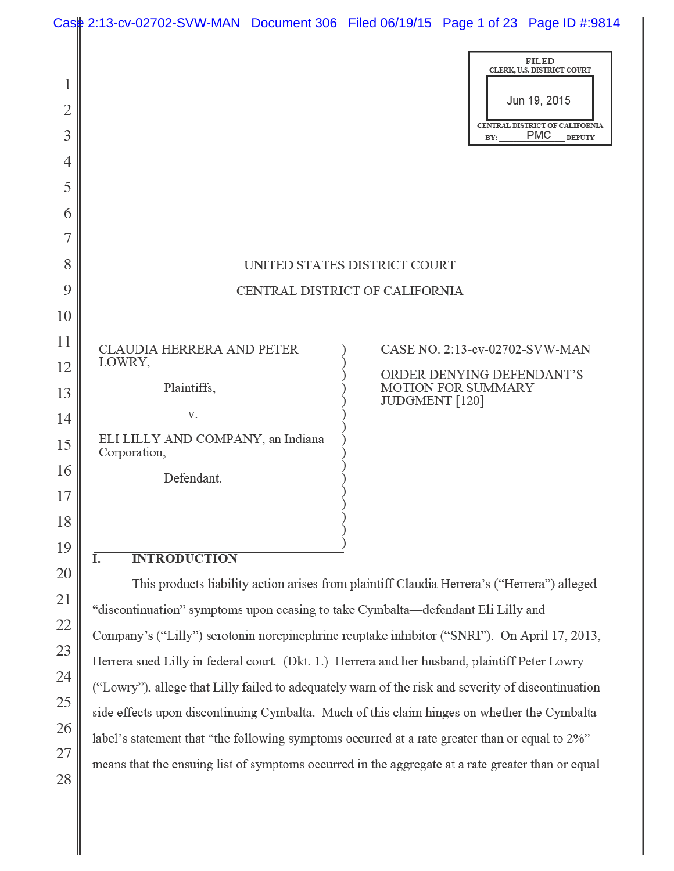|                               |                                                                                               | Case 2:13-cv-02702-SVW-MAN Document 306 Filed 06/19/15 Page 1 of 23 Page ID #:9814                                                 |  |
|-------------------------------|-----------------------------------------------------------------------------------------------|------------------------------------------------------------------------------------------------------------------------------------|--|
| 1<br>$\overline{2}$<br>3<br>4 |                                                                                               | <b>FILED</b><br>CLERK, U.S. DISTRICT COURT<br>Jun 19, 2015<br>CENTRAL DISTRICT OF CALIFORNIA<br><b>PMC</b><br><b>DEPUTY</b><br>BY: |  |
| 5                             |                                                                                               |                                                                                                                                    |  |
| 6                             |                                                                                               |                                                                                                                                    |  |
| 7                             |                                                                                               |                                                                                                                                    |  |
| 8                             |                                                                                               | UNITED STATES DISTRICT COURT                                                                                                       |  |
| 9                             |                                                                                               | CENTRAL DISTRICT OF CALIFORNIA                                                                                                     |  |
| 10                            |                                                                                               |                                                                                                                                    |  |
| 11                            | CLAUDIA HERRERA AND PETER                                                                     | CASE NO. 2:13-cv-02702-SVW-MAN                                                                                                     |  |
| 12                            | LOWRY,<br>Plaintiffs,                                                                         | ORDER DENYING DEFENDANT'S<br><b>MOTION FOR SUMMARY</b>                                                                             |  |
| 13                            | V.                                                                                            | JUDGMENT [120]                                                                                                                     |  |
| 14<br>15                      | ELI LILLY AND COMPANY, an Indiana<br>Corporation,                                             |                                                                                                                                    |  |
| 16                            | Defendant.                                                                                    |                                                                                                                                    |  |
| 17                            |                                                                                               |                                                                                                                                    |  |
| 18                            |                                                                                               |                                                                                                                                    |  |
| 19                            | Ī.<br><b>INTRODUCTION</b>                                                                     |                                                                                                                                    |  |
| 20                            |                                                                                               | This products liability action arises from plaintiff Claudia Herrera's ("Herrera") alleged                                         |  |
| 21                            | "discontinuation" symptoms upon ceasing to take Cymbalta-defendant Eli Lilly and              |                                                                                                                                    |  |
| 22                            |                                                                                               | Company's ("Lilly") serotonin norepinephrine reuptake inhibitor ("SNRI"). On April 17, 2013,                                       |  |
| 23                            | Herrera sued Lilly in federal court. (Dkt. 1.) Herrera and her husband, plaintiff Peter Lowry |                                                                                                                                    |  |
| 24                            |                                                                                               | ("Lowry"), allege that Lilly failed to adequately warn of the risk and severity of discontinuation                                 |  |
| 25                            |                                                                                               |                                                                                                                                    |  |

side effects upon discontinuing Cymbalta. Much of this claim hinges on whether the Cymbalta

26

27

28

label's statement that "the following symptoms occurred at a rate greater than or equal to 2%"

means that the ensuing list of symptoms occurred in the aggregate at a rate greater than or equal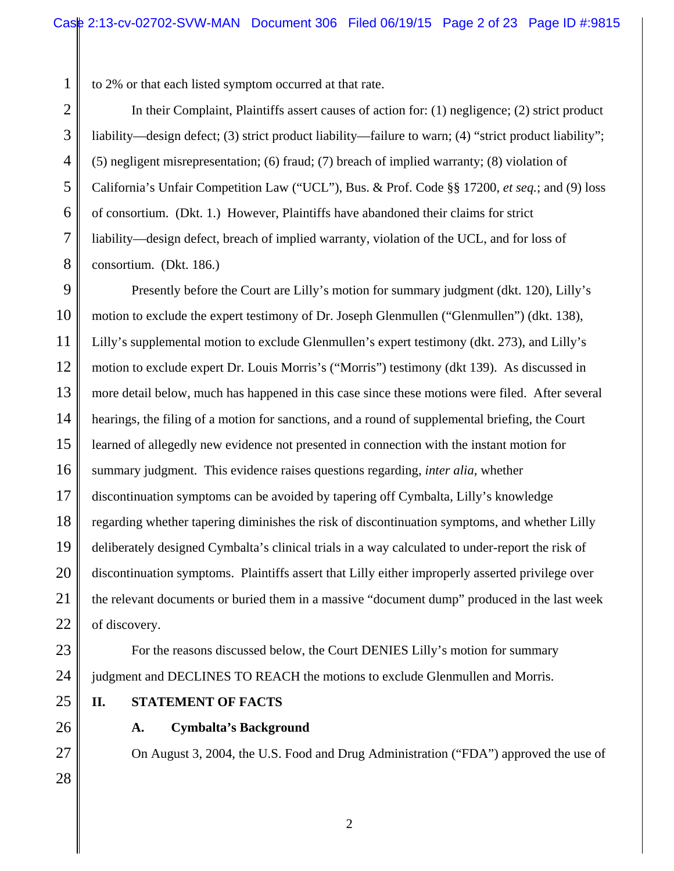to 2% or that each listed symptom occurred at that rate.

2 3 4 5 6 7 8 In their Complaint, Plaintiffs assert causes of action for: (1) negligence; (2) strict product liability—design defect; (3) strict product liability—failure to warn; (4) "strict product liability"; (5) negligent misrepresentation; (6) fraud; (7) breach of implied warranty; (8) violation of California's Unfair Competition Law ("UCL"), Bus. & Prof. Code §§ 17200, *et seq.*; and (9) loss of consortium. (Dkt. 1.) However, Plaintiffs have abandoned their claims for strict liability—design defect, breach of implied warranty, violation of the UCL, and for loss of consortium. (Dkt. 186.)

9 10 11 12 13 14 15 16 17 18 19 20 21 22 Presently before the Court are Lilly's motion for summary judgment (dkt. 120), Lilly's motion to exclude the expert testimony of Dr. Joseph Glenmullen ("Glenmullen") (dkt. 138), Lilly's supplemental motion to exclude Glenmullen's expert testimony (dkt. 273), and Lilly's motion to exclude expert Dr. Louis Morris's ("Morris") testimony (dkt 139). As discussed in more detail below, much has happened in this case since these motions were filed. After several hearings, the filing of a motion for sanctions, and a round of supplemental briefing, the Court learned of allegedly new evidence not presented in connection with the instant motion for summary judgment. This evidence raises questions regarding, *inter alia*, whether discontinuation symptoms can be avoided by tapering off Cymbalta, Lilly's knowledge regarding whether tapering diminishes the risk of discontinuation symptoms, and whether Lilly deliberately designed Cymbalta's clinical trials in a way calculated to under-report the risk of discontinuation symptoms. Plaintiffs assert that Lilly either improperly asserted privilege over the relevant documents or buried them in a massive "document dump" produced in the last week of discovery.

23

1

24 For the reasons discussed below, the Court DENIES Lilly's motion for summary judgment and DECLINES TO REACH the motions to exclude Glenmullen and Morris.

**II. STATEMENT OF FACTS**

26

27

28

25

**A. Cymbalta's Background**

On August 3, 2004, the U.S. Food and Drug Administration ("FDA") approved the use of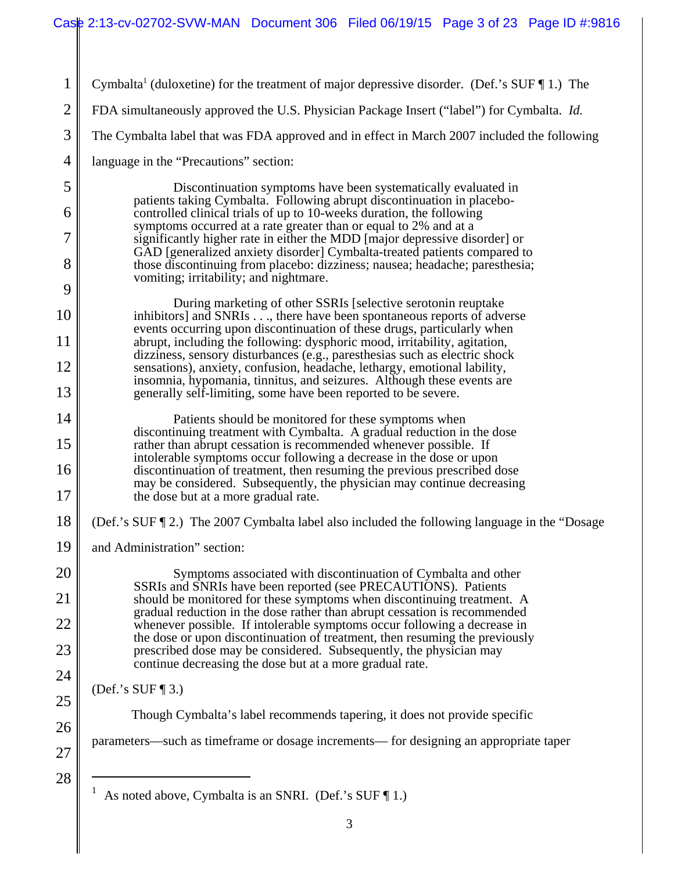1 2 3 4 5 6 7 8 9 10 11 12 13 14 15 16 17 18 19 20 21 22 23 24 25 26 27 28 Cymbalta<sup>1</sup> (duloxetine) for the treatment of major depressive disorder. (Def.'s SUF  $\P$ 1.) The FDA simultaneously approved the U.S. Physician Package Insert ("label") for Cymbalta. *Id.* The Cymbalta label that was FDA approved and in effect in March 2007 included the following language in the "Precautions" section: Discontinuation symptoms have been systematically evaluated in patients taking Cymbalta. Following abrupt discontinuation in placebocontrolled clinical trials of up to 10-weeks duration, the following symptoms occurred at a rate greater than or equal to 2% and at a significantly higher rate in either the MDD [major depressive disorder] or GAD [generalized anxiety disorder] Cymbalta-treated patients compared to those discontinuing from placebo: dizziness; nausea; headache; paresthesia; vomiting; irritability; and nightmare. During marketing of other SSRIs [selective serotonin reuptake inhibitors] and SNRIs . . ., there have been spontaneous reports of adverse events occurring upon discontinuation of these drugs, particularly when abrupt, including the following: dysphoric mood, irritability, agitation, dizziness, sensory disturbances (e.g., paresthesias such as electric shock sensations), anxiety, confusion, headache, lethargy, emotional lability, insomnia, hypomania, tinnitus, and seizures. Although these events are generally self-limiting, some have been reported to be severe. Patients should be monitored for these symptoms when discontinuing treatment with Cymbalta. A gradual reduction in the dose rather than abrupt cessation is recommended whenever possible. If intolerable symptoms occur following a decrease in the dose or upon discontinuation of treatment, then resuming the previous prescribed dose may be considered. Subsequently, the physician may continue decreasing the dose but at a more gradual rate. (Def.'s SUF ¶ 2.)The 2007 Cymbalta label also included the following language in the "Dosage and Administration" section: Symptoms associated with discontinuation of Cymbalta and other SSRIs and SNRIs have been reported (see PRECAUTIONS). Patients should be monitored for these symptoms when discontinuing treatment. A gradual reduction in the dose rather than abrupt cessation is recommended whenever possible. If intolerable symptoms occur following a decrease in the dose or upon discontinuation of treatment, then resuming the previously prescribed dose may be considered. Subsequently, the physician may continue decreasing the dose but at a more gradual rate. (Def.'s SUF ¶ 3.) Though Cymbalta's label recommends tapering, it does not provide specific parameters—such as timeframe or dosage increments— for designing an appropriate taper 1 As noted above, Cymbalta is an SNRI. (Def.'s SUF ¶ 1.)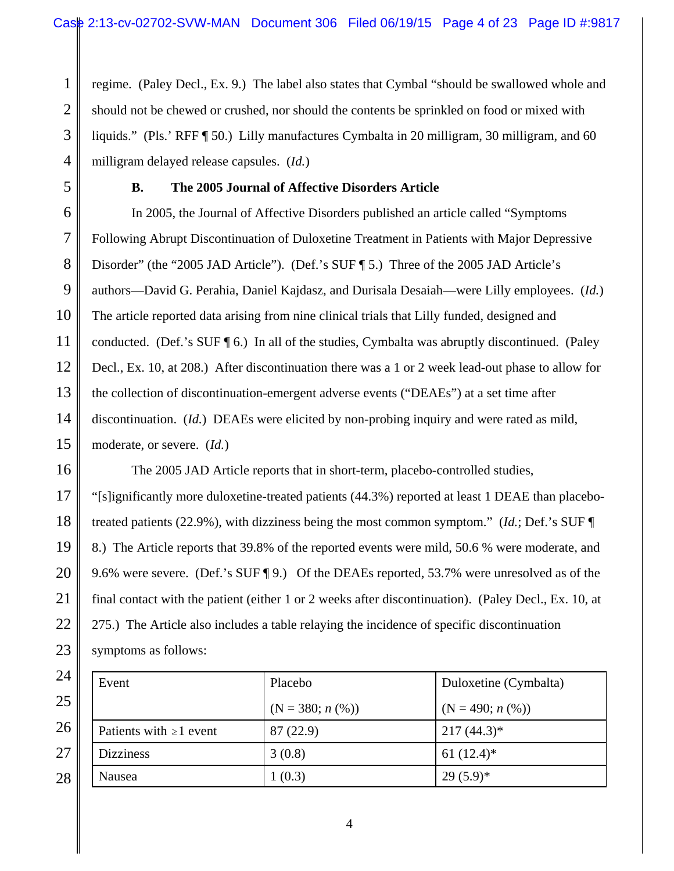1 2 3 4 regime. (Paley Decl., Ex. 9.) The label also states that Cymbal "should be swallowed whole and should not be chewed or crushed, nor should the contents be sprinkled on food or mixed with liquids." (Pls.' RFF ¶ 50.) Lilly manufactures Cymbalta in 20 milligram, 30 milligram, and 60 milligram delayed release capsules. (*Id.*)

5

## **B. The 2005 Journal of Affective Disorders Article**

6 7 8 9 10 11 12 13 14 15 In 2005, the Journal of Affective Disorders published an article called "Symptoms Following Abrupt Discontinuation of Duloxetine Treatment in Patients with Major Depressive Disorder" (the "2005 JAD Article"). (Def.'s SUF ¶ 5.) Three of the 2005 JAD Article's authors—David G. Perahia, Daniel Kajdasz, and Durisala Desaiah—were Lilly employees. (*Id.*) The article reported data arising from nine clinical trials that Lilly funded, designed and conducted. (Def.'s SUF  $\P$  6.) In all of the studies, Cymbalta was abruptly discontinued. (Paley Decl., Ex. 10, at 208.) After discontinuation there was a 1 or 2 week lead-out phase to allow for the collection of discontinuation-emergent adverse events ("DEAEs") at a set time after discontinuation. (*Id.*) DEAEs were elicited by non-probing inquiry and were rated as mild, moderate, or severe. (*Id.*)

16 17 18 19 20 21 22 23 The 2005 JAD Article reports that in short-term, placebo-controlled studies, "[s]ignificantly more duloxetine-treated patients (44.3%) reported at least 1 DEAE than placebotreated patients (22.9%), with dizziness being the most common symptom." (*Id.*; Def.'s SUF ¶ 8.) The Article reports that 39.8% of the reported events were mild, 50.6 % were moderate, and 9.6% were severe. (Def.'s SUF ¶ 9.) Of the DEAEs reported, 53.7% were unresolved as of the final contact with the patient (either 1 or 2 weeks after discontinuation). (Paley Decl., Ex. 10, at 275.) The Article also includes a table relaying the incidence of specific discontinuation symptoms as follows:

| 24 | Event                        | Placebo           | Duloxetine (Cymbalta) |
|----|------------------------------|-------------------|-----------------------|
| 25 |                              | $(N = 380; n (%)$ | $(N = 490; n (%)$     |
| 26 | Patients with $\geq 1$ event | 87(22.9)          | $217(44.3)^*$         |
| 27 | <b>Dizziness</b>             | 3(0.8)            | 61 $(12.4)^*$         |
| 28 | Nausea                       | (0.3)             | $29(5.9)^*$           |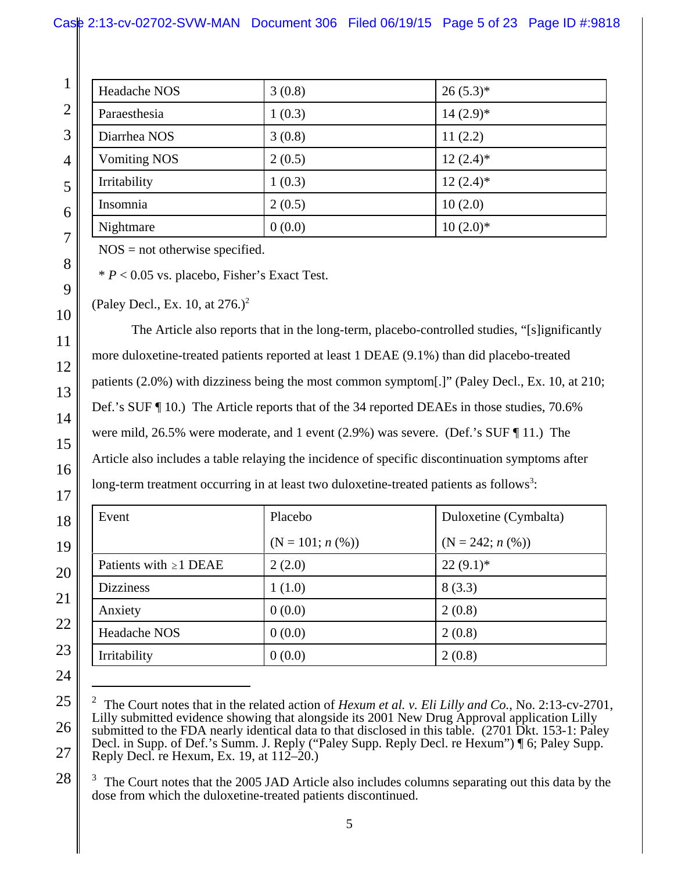# Case 2:13-cv-02702-SVW-MAN Document 306 Filed 06/19/15 Page 5 of 23 Page ID #:9818

|  | Headache NOS        | 3(0.8) | $26(5.3)*$  |
|--|---------------------|--------|-------------|
|  | Paraesthesia        | 1(0.3) | $14(2.9)*$  |
|  | Diarrhea NOS        | 3(0.8) | 11(2.2)     |
|  | <b>Vomiting NOS</b> | 2(0.5) | $12(2.4)$ * |
|  | Irritability        | 1(0.3) | $12(2.4)$ * |
|  | Insomnia            | 2(0.5) | 10(2.0)     |
|  | Nightmare           | 0(0.0) | $10(2.0)*$  |

NOS = not otherwise specified.

\* *P* < 0.05 vs. placebo, Fisher's Exact Test.

(Paley Decl., Ex. 10, at  $276.$ )<sup>2</sup>

The Article also reports that in the long-term, placebo-controlled studies, "[s]ignificantly more duloxetine-treated patients reported at least 1 DEAE (9.1%) than did placebo-treated patients (2.0%) with dizziness being the most common symptom[.]" (Paley Decl., Ex. 10, at 210; Def.'s SUF ¶ 10.) The Article reports that of the 34 reported DEAEs in those studies, 70.6% were mild, 26.5% were moderate, and 1 event (2.9%) was severe. (Def.'s SUF ¶ 11.) The Article also includes a table relaying the incidence of specific discontinuation symptoms after long-term treatment occurring in at least two duloxetine-treated patients as follows<sup>3</sup>:

| Event                       | Placebo           | Duloxetine (Cymbalta) |
|-----------------------------|-------------------|-----------------------|
|                             | $(N = 101; n (%)$ | $(N = 242; n (\%))$   |
| Patients with $\geq 1$ DEAE | 2(2.0)            | $22(9.1)$ *           |
| <b>Dizziness</b>            | 1(1.0)            | 8(3.3)                |
| Anxiety                     | 0(0.0)            | 2(0.8)                |
| <b>Headache NOS</b>         | 0(0.0)            | 2(0.8)                |
| Irritability                | 0(0.0)            | 2(0.8)                |

<sup>2</sup> The Court notes that in the related action of *Hexum et al. v. Eli Lilly and Co.*, No. 2:13-cv-2701, Lilly submitted evidence showing that alongside its 2001 New Drug Approval application Lilly submitted to the FDA nearly identical data to that disclosed in this table. (2701 Dkt. 153-1: Paley Decl. in Supp. of Def.'s Summ. J. Reply ("Paley Supp. Reply Decl. re Hexum") ¶ 6; Paley Supp. Reply Decl. re Hexum, Ex. 19, at  $112-20$ .)

3 The Court notes that the 2005 JAD Article also includes columns separating out this data by the dose from which the duloxetine-treated patients discontinued.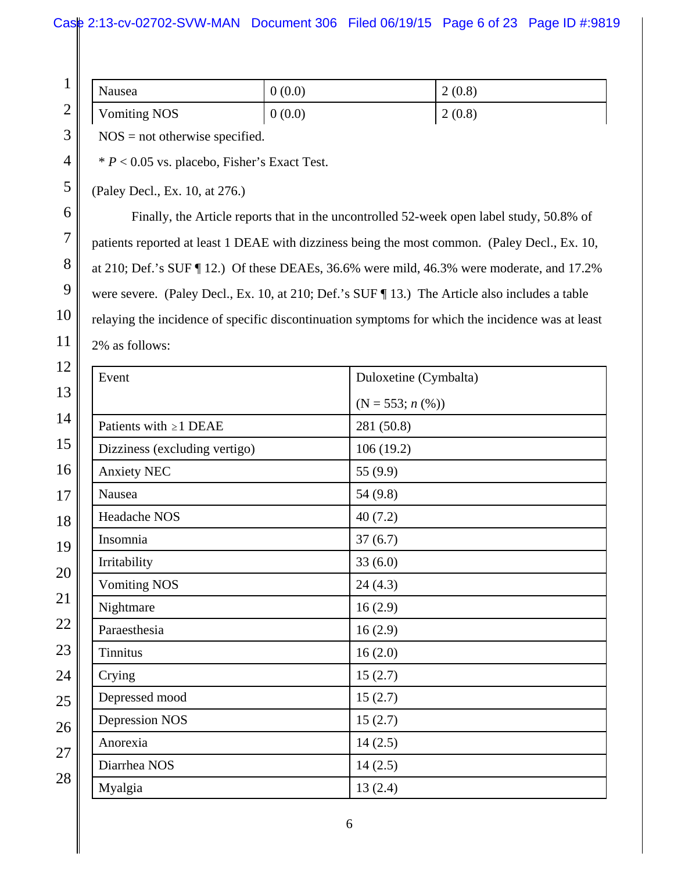| и<br>$\mathbf{r}$<br>⌒<br>H<br>∠ | Nausea              | 0(0.0) | 2(0.8) |
|----------------------------------|---------------------|--------|--------|
|                                  | <b>Vomiting NOS</b> | 0(0.0) | 2(0.8) |

NOS = not otherwise specified.

\* *P* < 0.05 vs. placebo, Fisher's Exact Test.

(Paley Decl., Ex. 10, at 276.)

3

4

5

6

7

8

9

10

11

Finally, the Article reports that in the uncontrolled 52-week open label study, 50.8% of patients reported at least 1 DEAE with dizziness being the most common. (Paley Decl., Ex. 10, at 210; Def.'s SUF ¶ 12.) Of these DEAEs, 36.6% were mild, 46.3% were moderate, and 17.2% were severe. (Paley Decl., Ex. 10, at 210; Def.'s SUF ¶ 13.) The Article also includes a table relaying the incidence of specific discontinuation symptoms for which the incidence was at least 2% as follows:

| Event                         | Duloxetine (Cymbalta) |
|-------------------------------|-----------------------|
|                               | $(N = 553; n (\%))$   |
| Patients with $\geq 1$ DEAE   | 281 (50.8)            |
| Dizziness (excluding vertigo) | 106(19.2)             |
| Anxiety NEC                   | 55 (9.9)              |
| Nausea                        | 54(9.8)               |
| Headache NOS                  | 40(7.2)               |
| Insomnia                      | 37(6.7)               |
| Irritability                  | 33(6.0)               |
| <b>Vomiting NOS</b>           | 24(4.3)               |
| Nightmare                     | 16(2.9)               |
| Paraesthesia                  | 16(2.9)               |
| <b>Tinnitus</b>               | 16(2.0)               |
| Crying                        | 15(2.7)               |
| Depressed mood                | 15(2.7)               |
| <b>Depression NOS</b>         | 15(2.7)               |
| Anorexia                      | 14(2.5)               |
| Diarrhea NOS                  | 14(2.5)               |
| Myalgia                       | 13(2.4)               |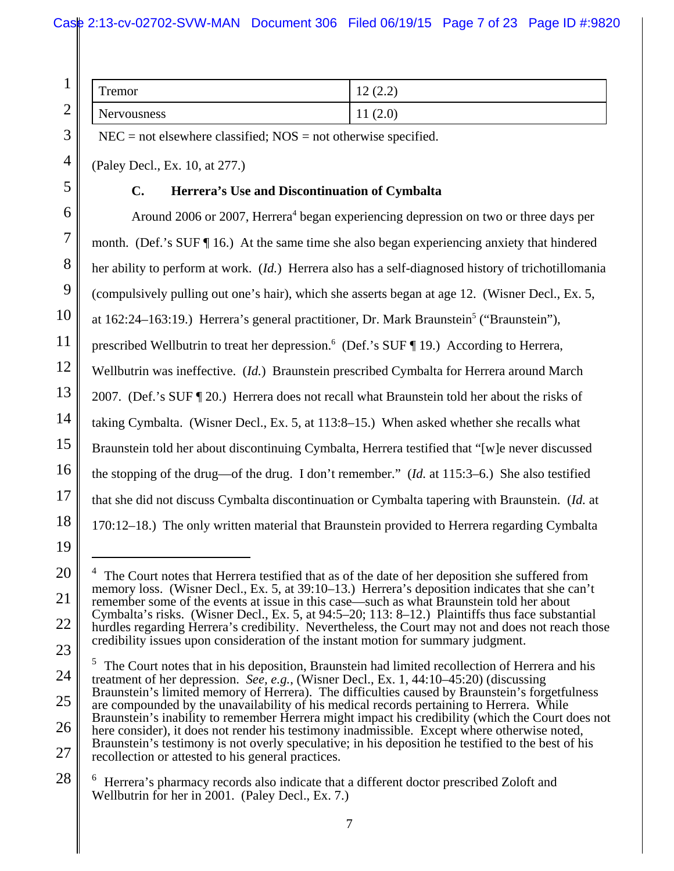|  | m<br>remor         | $1^{\circ}$<br>$\curvearrowleft$<br>12(2.2) |
|--|--------------------|---------------------------------------------|
|  | <b>Nervousness</b> | (2.0)<br>$\mathbf{r}$                       |

28

1

 $NEC = not elsewhere classified; NOS = not otherwise specified.$ 

(Paley Decl., Ex. 10, at 277.)

## **C. Herrera's Use and Discontinuation of Cymbalta**

Around 2006 or 2007, Herrera<sup>4</sup> began experiencing depression on two or three days per month. (Def.'s SUF  $\P$  16.) At the same time she also began experiencing anxiety that hindered her ability to perform at work. (*Id.*) Herrera also has a self-diagnosed history of trichotillomania (compulsively pulling out one's hair), which she asserts began at age 12. (Wisner Decl., Ex. 5, at 162:24–163:19.) Herrera's general practitioner, Dr. Mark Braunstein<sup>5</sup> ("Braunstein"), prescribed Wellbutrin to treat her depression.<sup>6</sup> (Def.'s SUF ¶ 19.) According to Herrera, Wellbutrin was ineffective. (*Id.*) Braunstein prescribed Cymbalta for Herrera around March 2007.(Def.'s SUF ¶ 20.) Herrera does not recall what Braunstein told her about the risks of taking Cymbalta. (Wisner Decl., Ex. 5, at 113:8–15.) When asked whether she recalls what Braunstein told her about discontinuing Cymbalta, Herrera testified that "[w]e never discussed the stopping of the drug—of the drug. I don't remember." (*Id.* at 115:3–6.) She also testified that she did not discuss Cymbalta discontinuation or Cymbalta tapering with Braunstein. (*Id.* at 170:12–18.) The only written material that Braunstein provided to Herrera regarding Cymbalta

<sup>20</sup> 21 22 <sup>4</sup> The Court notes that Herrera testified that as of the date of her deposition she suffered from memory loss. (Wisner Decl., Ex. 5, at 39:10–13.) Herrera's deposition indicates that she can't remember some of the events at issue in this case—such as what Braunstein told her about Cymbalta's risks. (Wisner Decl., Ex. 5, at 94:5–20; 113: 8–12.) Plaintiffs thus face substantial hurdles regarding Herrera's credibility. Nevertheless, the Court may not and does not reach those credibility issues upon consideration of the instant motion for summary judgment.

<sup>24</sup> 25 26 27 5 The Court notes that in his deposition, Braunstein had limited recollection of Herrera and his treatment of her depression. *See, e.g.*, (Wisner Decl., Ex. 1, 44:10–45:20) (discussing Braunstein's limited memory of Herrera). The difficulties caused by Braunstein's forgetfulness are compounded by the unavailability of his medical records pertaining to Herrera. While Braunstein's inability to remember Herrera might impact his credibility (which the Court does not here consider), it does not render his testimony inadmissible. Except where otherwise noted, Braunstein's testimony is not overly speculative; in his deposition he testified to the best of his recollection or attested to his general practices.

<sup>6</sup> Herrera's pharmacy records also indicate that a different doctor prescribed Zoloft and Wellbutrin for her in 2001. (Paley Decl., Ex. 7.)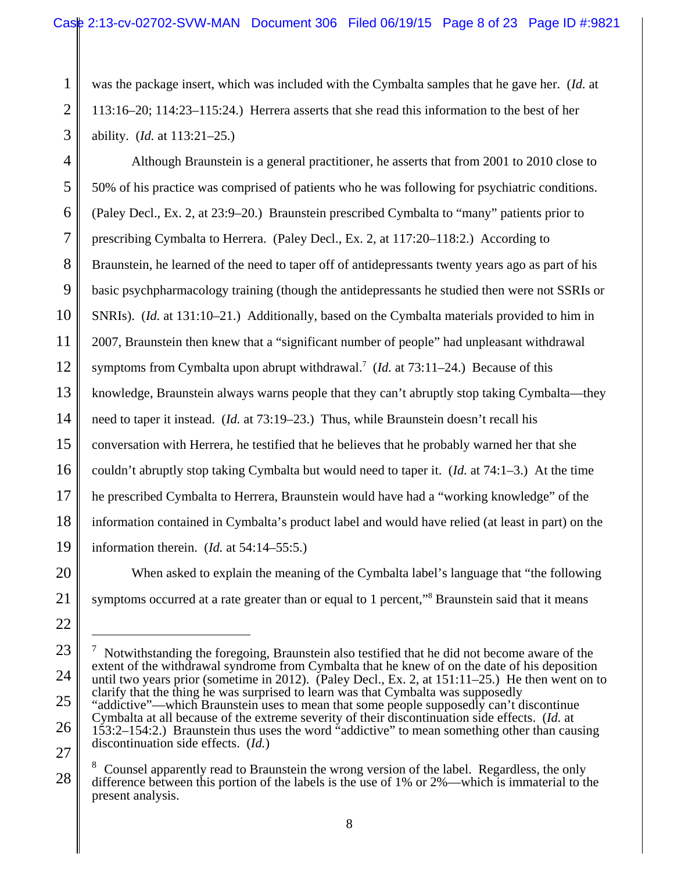1 2 3 was the package insert, which was included with the Cymbalta samples that he gave her. (*Id.* at 113:16–20; 114:23–115:24.) Herrera asserts that she read this information to the best of her ability. (*Id.* at 113:21–25.)

4 5 6 7 8 9 10 11 12 13 14 15 16 17 18 19 Although Braunstein is a general practitioner, he asserts that from 2001 to 2010 close to 50% of his practice was comprised of patients who he was following for psychiatric conditions. (Paley Decl., Ex. 2, at 23:9–20.) Braunstein prescribed Cymbalta to "many" patients prior to prescribing Cymbalta to Herrera. (Paley Decl., Ex. 2, at 117:20–118:2.) According to Braunstein, he learned of the need to taper off of antidepressants twenty years ago as part of his basic psychpharmacology training (though the antidepressants he studied then were not SSRIs or SNRIs). (*Id.* at 131:10–21.) Additionally, based on the Cymbalta materials provided to him in 2007, Braunstein then knew that a "significant number of people" had unpleasant withdrawal symptoms from Cymbalta upon abrupt withdrawal.<sup>7</sup> (*Id.* at 73:11–24.) Because of this knowledge, Braunstein always warns people that they can't abruptly stop taking Cymbalta—they need to taper it instead. (*Id.* at 73:19–23.) Thus, while Braunstein doesn't recall his conversation with Herrera, he testified that he believes that he probably warned her that she couldn't abruptly stop taking Cymbalta but would need to taper it. (*Id.* at 74:1–3.) At the time he prescribed Cymbalta to Herrera, Braunstein would have had a "working knowledge" of the information contained in Cymbalta's product label and would have relied (at least in part) on the information therein. (*Id.* at 54:14–55:5.)

20 21 When asked to explain the meaning of the Cymbalta label's language that "the following symptoms occurred at a rate greater than or equal to 1 percent,"<sup>8</sup> Braunstein said that it means

22

23

24

25

26

27

<sup>7</sup> Notwithstanding the foregoing, Braunstein also testified that he did not become aware of the extent of the withdrawal syndrome from Cymbalta that he knew of on the date of his deposition until two years prior (sometime in 2012). (Paley Decl., Ex. 2, at 151:11–25.) He then went on to clarify that the thing he was surprised to learn was that Cymbalta was supposedly "addictive"—which Braunstein uses to mean that some people supposedly can't discontinue Cymbalta at all because of the extreme severity of their discontinuation side effects. (*Id.* at 153:2–154:2.) Braunstein thus uses the word "addictive" to mean something other than causing discontinuation side effects. (*Id.*)

<sup>8</sup> Counsel apparently read to Braunstein the wrong version of the label. Regardless, the only difference between this portion of the labels is the use of 1% or 2%—which is immaterial to the present analysis.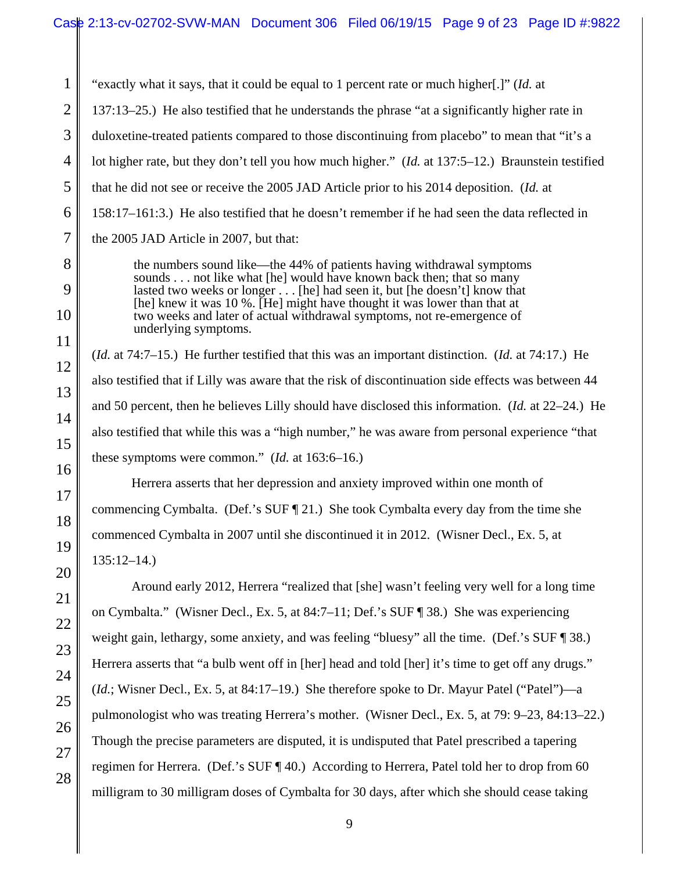1 "exactly what it says, that it could be equal to 1 percent rate or much higher[.]" (*Id.* at 137:13–25.) He also testified that he understands the phrase "at a significantly higher rate in duloxetine-treated patients compared to those discontinuing from placebo" to mean that "it's a lot higher rate, but they don't tell you how much higher." (*Id.* at 137:5–12.) Braunstein testified that he did not see or receive the 2005 JAD Article prior to his 2014 deposition. (*Id.* at 158:17–161:3.) He also testified that he doesn't remember if he had seen the data reflected in the 2005 JAD Article in 2007, but that: the numbers sound like—the 44% of patients having withdrawal symptoms sounds . . . not like what [he] would have known back then; that so many lasted two weeks or longer . . . [he] had seen it, but [he doesn't] know that [he] knew it was 10 %. [He] might have thought it was lower than that at two weeks and later of actual withdrawal symptoms, not re-emergence of underlying symptoms. (*Id.* at 74:7–15.) He further testified that this was an important distinction. (*Id.* at 74:17.) He also testified that if Lilly was aware that the risk of discontinuation side effects was between 44 and 50 percent, then he believes Lilly should have disclosed this information. (*Id.* at 22–24.) He also testified that while this was a "high number," he was aware from personal experience "that

these symptoms were common." (*Id.* at 163:6–16.)

Herrera asserts that her depression and anxiety improved within one month of commencing Cymbalta. (Def.'s SUF ¶ 21.)She took Cymbalta every day from the time she commenced Cymbalta in 2007 until she discontinued it in 2012. (Wisner Decl., Ex. 5, at 135:12–14.)

Around early 2012, Herrera "realized that [she] wasn't feeling very well for a long time on Cymbalta." (Wisner Decl., Ex. 5, at 84:7–11; Def.'s SUF ¶ 38.) She was experiencing weight gain, lethargy, some anxiety, and was feeling "bluesy" all the time. (Def.'s SUF ¶ 38.) Herrera asserts that "a bulb went off in [her] head and told [her] it's time to get off any drugs." (*Id.*; Wisner Decl., Ex. 5, at 84:17–19.) She therefore spoke to Dr. Mayur Patel ("Patel")—a pulmonologist who was treating Herrera's mother. (Wisner Decl., Ex. 5, at 79: 9–23, 84:13–22.) Though the precise parameters are disputed, it is undisputed that Patel prescribed a tapering regimen for Herrera. (Def.'s SUF ¶ 40.) According to Herrera, Patel told her to drop from 60 milligram to 30 milligram doses of Cymbalta for 30 days, after which she should cease taking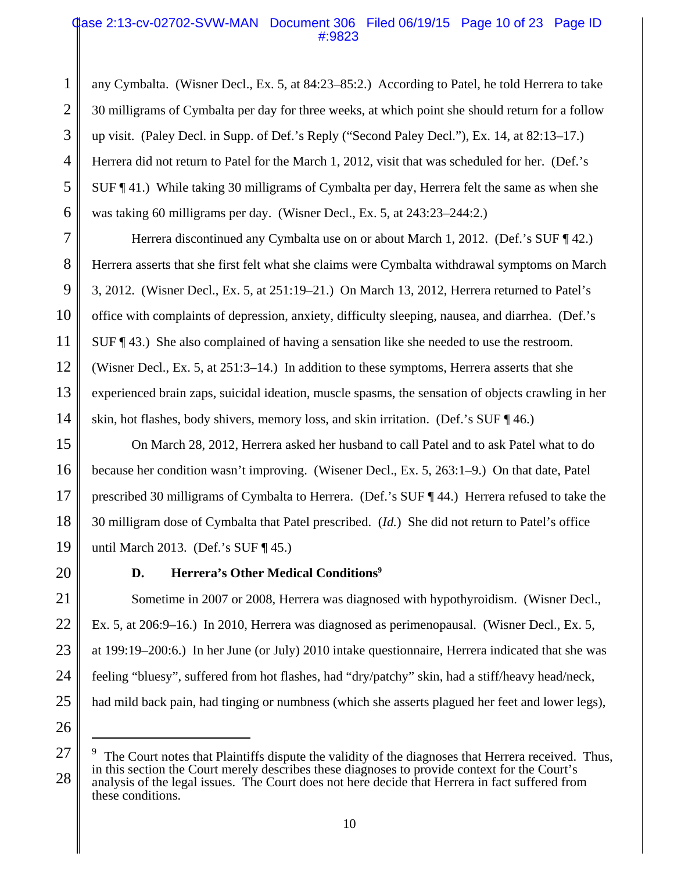# Case 2:13-cv-02702-SVW-MAN Document 306 Filed 06/19/15 Page 10 of 23 Page ID #:9823

1 2 3 4 5 6 any Cymbalta. (Wisner Decl., Ex. 5, at 84:23–85:2.) According to Patel, he told Herrera to take 30 milligrams of Cymbalta per day for three weeks, at which point she should return for a follow up visit. (Paley Decl. in Supp. of Def.'s Reply ("Second Paley Decl."), Ex. 14, at 82:13–17.) Herrera did not return to Patel for the March 1, 2012, visit that was scheduled for her. (Def.'s SUF ¶ 41.) While taking 30 milligrams of Cymbalta per day, Herrera felt the same as when she was taking 60 milligrams per day. (Wisner Decl., Ex. 5, at 243:23–244:2.)

7 8 9 10 11 12 13 14 Herrera discontinued any Cymbalta use on or about March 1, 2012. (Def.'s SUF ¶ 42.) Herrera asserts that she first felt what she claims were Cymbalta withdrawal symptoms on March 3, 2012. (Wisner Decl., Ex. 5, at 251:19–21.) On March 13, 2012, Herrera returned to Patel's office with complaints of depression, anxiety, difficulty sleeping, nausea, and diarrhea. (Def.'s SUF ¶ 43.) She also complained of having a sensation like she needed to use the restroom. (Wisner Decl., Ex. 5, at 251:3–14.) In addition to these symptoms, Herrera asserts that she experienced brain zaps, suicidal ideation, muscle spasms, the sensation of objects crawling in her skin, hot flashes, body shivers, memory loss, and skin irritation. (Def.'s SUF ¶ 46.)

15 16 17 18 19 On March 28, 2012, Herrera asked her husband to call Patel and to ask Patel what to do because her condition wasn't improving. (Wisener Decl., Ex. 5, 263:1–9.) On that date, Patel prescribed 30 milligrams of Cymbalta to Herrera. (Def.'s SUF ¶ 44.) Herrera refused to take the 30 milligram dose of Cymbalta that Patel prescribed. (*Id.*) She did not return to Patel's office until March 2013. (Def.'s SUF  $\P$  45.)

20

# **D.** Herrera's Other Medical Conditions<sup>9</sup>

21 22 23 24 25 Sometime in 2007 or 2008, Herrera was diagnosed with hypothyroidism. (Wisner Decl., Ex. 5, at 206:9–16.) In 2010, Herrera was diagnosed as perimenopausal. (Wisner Decl., Ex. 5, at 199:19–200:6.) In her June (or July) 2010 intake questionnaire, Herrera indicated that she was feeling "bluesy", suffered from hot flashes, had "dry/patchy" skin, had a stiff/heavy head/neck, had mild back pain, had tinging or numbness (which she asserts plagued her feet and lower legs),

<sup>28</sup> 9 The Court notes that Plaintiffs dispute the validity of the diagnoses that Herrera received. Thus, in this section the Court merely describes these diagnoses to provide context for the Court's analysis of the legal issues. The Court does not here decide that Herrera in fact suffered from these conditions.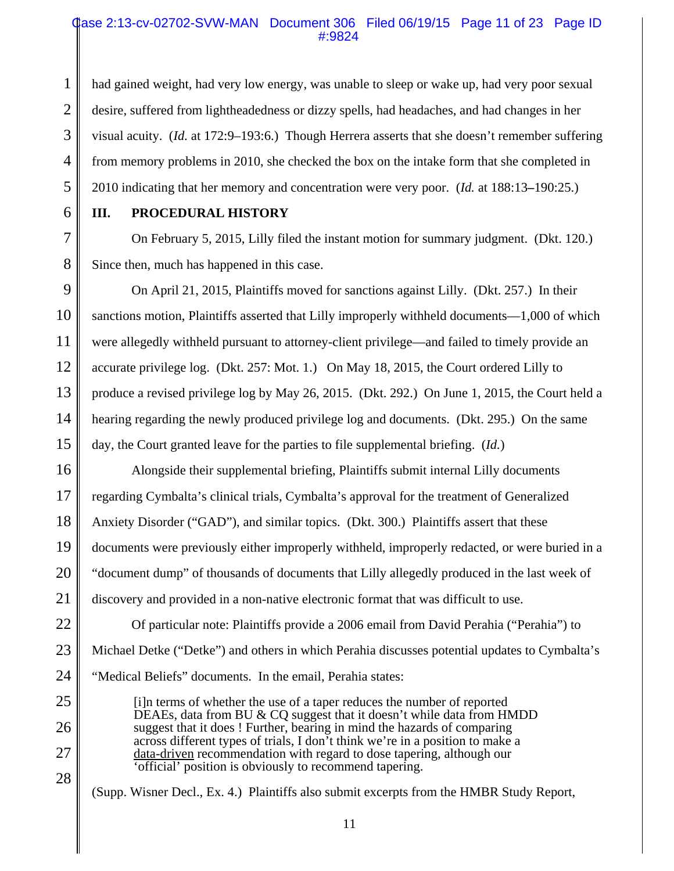## Case 2:13-cv-02702-SVW-MAN Document 306 Filed 06/19/15 Page 11 of 23 Page ID #:9824

2 3 4 had gained weight, had very low energy, was unable to sleep or wake up, had very poor sexual desire, suffered from lightheadedness or dizzy spells, had headaches, and had changes in her visual acuity. (*Id.* at 172:9–193:6.) Though Herrera asserts that she doesn't remember suffering from memory problems in 2010, she checked the box on the intake form that she completed in 2010 indicating that her memory and concentration were very poor. (*Id.* at 188:13**–**190:25.)

6

7

8

25

26

27

28

5

1

# **III. PROCEDURAL HISTORY**

On February 5, 2015, Lilly filed the instant motion for summary judgment. (Dkt. 120.) Since then, much has happened in this case.

9 10 11 12 13 14 15 On April 21, 2015, Plaintiffs moved for sanctions against Lilly. (Dkt. 257.) In their sanctions motion, Plaintiffs asserted that Lilly improperly withheld documents—1,000 of which were allegedly withheld pursuant to attorney-client privilege—and failed to timely provide an accurate privilege log. (Dkt. 257: Mot. 1.) On May 18, 2015, the Court ordered Lilly to produce a revised privilege log by May 26, 2015. (Dkt. 292.) On June 1, 2015, the Court held a hearing regarding the newly produced privilege log and documents. (Dkt. 295.) On the same day, the Court granted leave for the parties to file supplemental briefing. (*Id.*)

16 17 18 19 20 21 Alongside their supplemental briefing, Plaintiffs submit internal Lilly documents regarding Cymbalta's clinical trials, Cymbalta's approval for the treatment of Generalized Anxiety Disorder ("GAD"), and similar topics. (Dkt. 300.) Plaintiffs assert that these documents were previously either improperly withheld, improperly redacted, or were buried in a "document dump" of thousands of documents that Lilly allegedly produced in the last week of discovery and provided in a non-native electronic format that was difficult to use.

22 23 24 Of particular note: Plaintiffs provide a 2006 email from David Perahia ("Perahia") to Michael Detke ("Detke") and others in which Perahia discusses potential updates to Cymbalta's "Medical Beliefs" documents. In the email, Perahia states:

[i]n terms of whether the use of a taper reduces the number of reported DEAEs, data from BU & CQ suggest that it doesn't while data from HMDD suggest that it does ! Further, bearing in mind the hazards of comparing across different types of trials, I don't think we're in a position to make a data-driven recommendation with regard to dose tapering, although our 'official' position is obviously to recommend tapering.

(Supp. Wisner Decl., Ex. 4.) Plaintiffs also submit excerpts from the HMBR Study Report,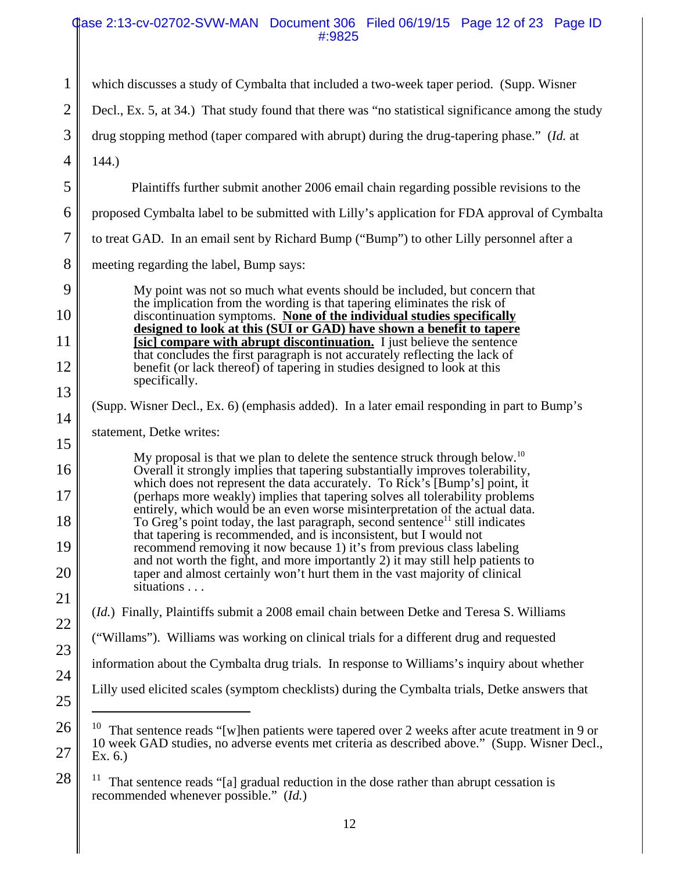## Case 2:13-cv-02702-SVW-MAN Document 306 Filed 06/19/15 Page 12 of 23 Page ID #:9825

| $\mathbf{1}$   | which discusses a study of Cymbalta that included a two-week taper period. (Supp. Wisner                                                                                                            |  |
|----------------|-----------------------------------------------------------------------------------------------------------------------------------------------------------------------------------------------------|--|
| $\overline{2}$ | Decl., Ex. 5, at 34.) That study found that there was "no statistical significance among the study                                                                                                  |  |
| 3              | drug stopping method (taper compared with abrupt) during the drug-tapering phase." (Id. at                                                                                                          |  |
| $\overline{4}$ | 144.                                                                                                                                                                                                |  |
| 5              | Plaintiffs further submit another 2006 email chain regarding possible revisions to the                                                                                                              |  |
| 6              | proposed Cymbalta label to be submitted with Lilly's application for FDA approval of Cymbalta                                                                                                       |  |
| $\overline{7}$ | to treat GAD. In an email sent by Richard Bump ("Bump") to other Lilly personnel after a                                                                                                            |  |
| 8              | meeting regarding the label, Bump says:                                                                                                                                                             |  |
| 9              | My point was not so much what events should be included, but concern that<br>the implication from the wording is that tapering eliminates the risk of                                               |  |
| 10             | discontinuation symptoms. None of the individual studies specifically<br>designed to look at this (SUI or GAD) have shown a benefit to tapere                                                       |  |
| 11             | [sic] compare with abrupt discontinuation. I just believe the sentence<br>that concludes the first paragraph is not accurately reflecting the lack of                                               |  |
| 12             | benefit (or lack thereof) of tapering in studies designed to look at this<br>specifically.                                                                                                          |  |
| 13             | (Supp. Wisner Decl., Ex. 6) (emphasis added). In a later email responding in part to Bump's                                                                                                         |  |
| 14             | statement, Detke writes:                                                                                                                                                                            |  |
| 15             | My proposal is that we plan to delete the sentence struck through below. <sup>10</sup>                                                                                                              |  |
| 16             | Overall it strongly implies that tapering substantially improves tolerability,<br>which does not represent the data accurately. To Rick's [Bump's] point, it                                        |  |
| 17             | (perhaps more weakly) implies that tapering solves all tolerability problems<br>entirely, which would be an even worse misinterpretation of the actual data.                                        |  |
| 18             | To Greg's point today, the last paragraph, second sentence <sup>11</sup> still indicates<br>that tapering is recommended, and is inconsistent, but I would not                                      |  |
| 19             | recommend removing it now because 1) it's from previous class labeling<br>and not worth the fight, and more importantly 2) it may still help patients to                                            |  |
| 20             | taper and almost certainly won't hurt them in the vast majority of clinical<br>situations                                                                                                           |  |
| 21             | <i>(Id.)</i> Finally, Plaintiffs submit a 2008 email chain between Detke and Teresa S. Williams                                                                                                     |  |
| 22             | ("Willams"). Williams was working on clinical trials for a different drug and requested                                                                                                             |  |
| 23             | information about the Cymbalta drug trials. In response to Williams's inquiry about whether                                                                                                         |  |
| 24             | Lilly used elicited scales (symptom checklists) during the Cymbalta trials, Detke answers that                                                                                                      |  |
| 25             |                                                                                                                                                                                                     |  |
| 26             | 10<br>That sentence reads "[w]hen patients were tapered over 2 weeks after acute treatment in 9 or<br>10 week GAD studies, no adverse events met criteria as described above." (Supp. Wisner Decl., |  |
| 27             | Ex. 6.)                                                                                                                                                                                             |  |
| 28             | That sentence reads "[a] gradual reduction in the dose rather than abrupt cessation is                                                                                                              |  |

<sup>&</sup>lt;sup>11</sup> That sentence reads "[a] gradual reduction in the dose rather than abrupt cessation is recommended whenever possible." (*Id.*)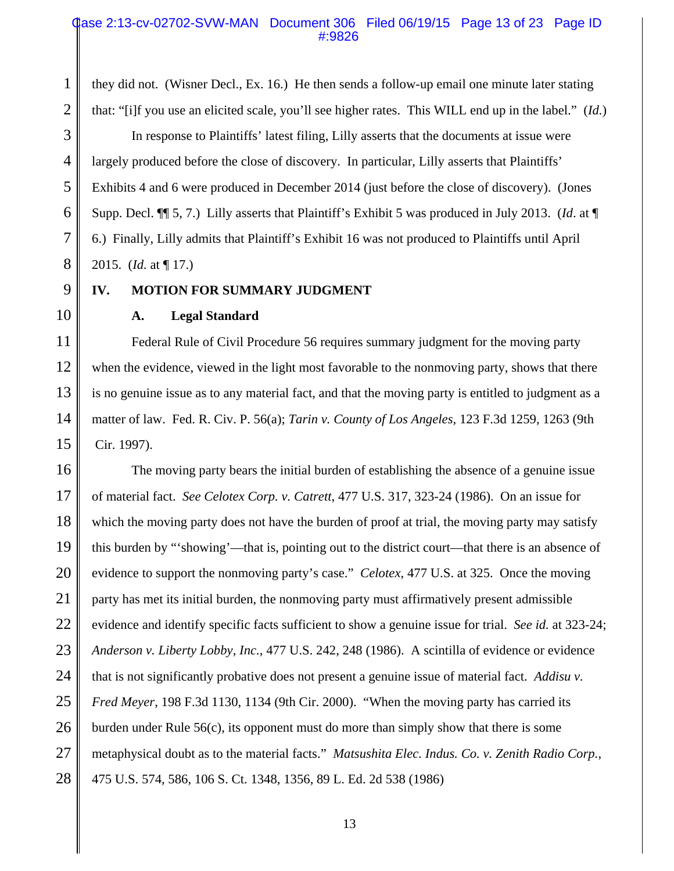#### Case 2:13-cv-02702-SVW-MAN Document 306 Filed 06/19/15 Page 13 of 23 Page ID #:9826

they did not. (Wisner Decl., Ex. 16.) He then sends a follow-up email one minute later stating

that: "[i]f you use an elicited scale, you'll see higher rates. This WILL end up in the label." (*Id.*) In response to Plaintiffs' latest filing, Lilly asserts that the documents at issue were largely produced before the close of discovery. In particular, Lilly asserts that Plaintiffs' Exhibits 4 and 6 were produced in December 2014 (just before the close of discovery). (Jones Supp. Decl. ¶¶ 5, 7.) Lilly asserts that Plaintiff's Exhibit 5 was produced in July 2013. (*Id*. at ¶ 6.) Finally, Lilly admits that Plaintiff's Exhibit 16 was not produced to Plaintiffs until April 2015. (*Id.* at ¶ 17.)

9 10

1

2

3

4

5

6

7

8

# **IV. MOTION FOR SUMMARY JUDGMENT**

**A. Legal Standard**

11 12 13 14 15 Federal Rule of Civil Procedure 56 requires summary judgment for the moving party when the evidence, viewed in the light most favorable to the nonmoving party, shows that there is no genuine issue as to any material fact, and that the moving party is entitled to judgment as a matter of law. Fed. R. Civ. P. 56(a); *Tarin v. County of Los Angeles*, 123 F.3d 1259, 1263 (9th Cir. 1997).

16 17 18 19 20 21 22 23 24 25 26 27 28 The moving party bears the initial burden of establishing the absence of a genuine issue of material fact. *See Celotex Corp. v. Catrett*, 477 U.S. 317, 323-24 (1986). On an issue for which the moving party does not have the burden of proof at trial, the moving party may satisfy this burden by "'showing'—that is, pointing out to the district court—that there is an absence of evidence to support the nonmoving party's case." *Celotex*, 477 U.S. at 325. Once the moving party has met its initial burden, the nonmoving party must affirmatively present admissible evidence and identify specific facts sufficient to show a genuine issue for trial. *See id.* at 323-24; *Anderson v. Liberty Lobby, Inc.*, 477 U.S. 242, 248 (1986). A scintilla of evidence or evidence that is not significantly probative does not present a genuine issue of material fact. *Addisu v. Fred Meyer*, 198 F.3d 1130, 1134 (9th Cir. 2000). "When the moving party has carried its burden under Rule 56(c), its opponent must do more than simply show that there is some metaphysical doubt as to the material facts." *Matsushita Elec. Indus. Co. v. Zenith Radio Corp.*, 475 U.S. 574, 586, 106 S. Ct. 1348, 1356, 89 L. Ed. 2d 538 (1986)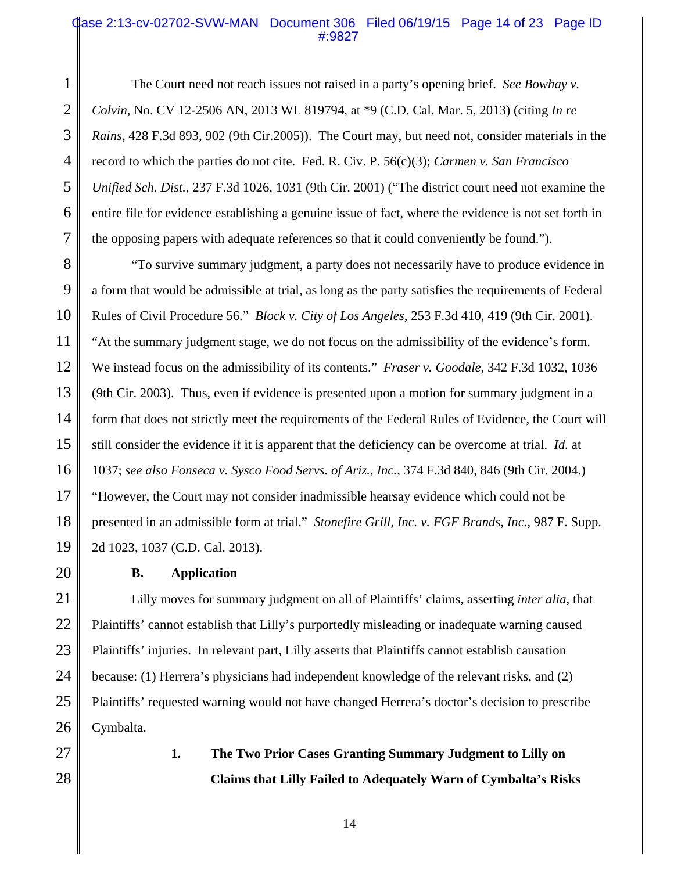#### Case 2:13-cv-02702-SVW-MAN Document 306 Filed 06/19/15 Page 14 of 23 Page ID #:9827

The Court need not reach issues not raised in a party's opening brief. *See Bowhay v. Colvin*, No. CV 12-2506 AN, 2013 WL 819794, at \*9 (C.D. Cal. Mar. 5, 2013) (citing *In re Rains*, 428 F.3d 893, 902 (9th Cir.2005)). The Court may, but need not, consider materials in the record to which the parties do not cite. Fed. R. Civ. P. 56(c)(3); *Carmen v. San Francisco Unified Sch. Dist.*, 237 F.3d 1026, 1031 (9th Cir. 2001) ("The district court need not examine the entire file for evidence establishing a genuine issue of fact, where the evidence is not set forth in the opposing papers with adequate references so that it could conveniently be found.").

8 9 10 11 12 13 14 15 16 17 18 19 "To survive summary judgment, a party does not necessarily have to produce evidence in a form that would be admissible at trial, as long as the party satisfies the requirements of Federal Rules of Civil Procedure 56." *Block v. City of Los Angeles*, 253 F.3d 410, 419 (9th Cir. 2001). "At the summary judgment stage, we do not focus on the admissibility of the evidence's form. We instead focus on the admissibility of its contents." *Fraser v. Goodale*, 342 F.3d 1032, 1036 (9th Cir. 2003). Thus, even if evidence is presented upon a motion for summary judgment in a form that does not strictly meet the requirements of the Federal Rules of Evidence, the Court will still consider the evidence if it is apparent that the deficiency can be overcome at trial. *Id.* at 1037; *see also Fonseca v. Sysco Food Servs. of Ariz., Inc.*, 374 F.3d 840, 846 (9th Cir. 2004.) "However, the Court may not consider inadmissible hearsay evidence which could not be presented in an admissible form at trial." *Stonefire Grill, Inc. v. FGF Brands, Inc.*, 987 F. Supp. 2d 1023, 1037 (C.D. Cal. 2013).

20

1

2

3

4

5

6

7

#### **B. Application**

21 22 23 24 25 26 Lilly moves for summary judgment on all of Plaintiffs' claims, asserting *inter alia*, that Plaintiffs' cannot establish that Lilly's purportedly misleading or inadequate warning caused Plaintiffs' injuries. In relevant part, Lilly asserts that Plaintiffs cannot establish causation because: (1) Herrera's physicians had independent knowledge of the relevant risks, and (2) Plaintiffs' requested warning would not have changed Herrera's doctor's decision to prescribe Cymbalta.

- 27
- 28

**1. The Two Prior Cases Granting Summary Judgment to Lilly on Claims that Lilly Failed to Adequately Warn of Cymbalta's Risks**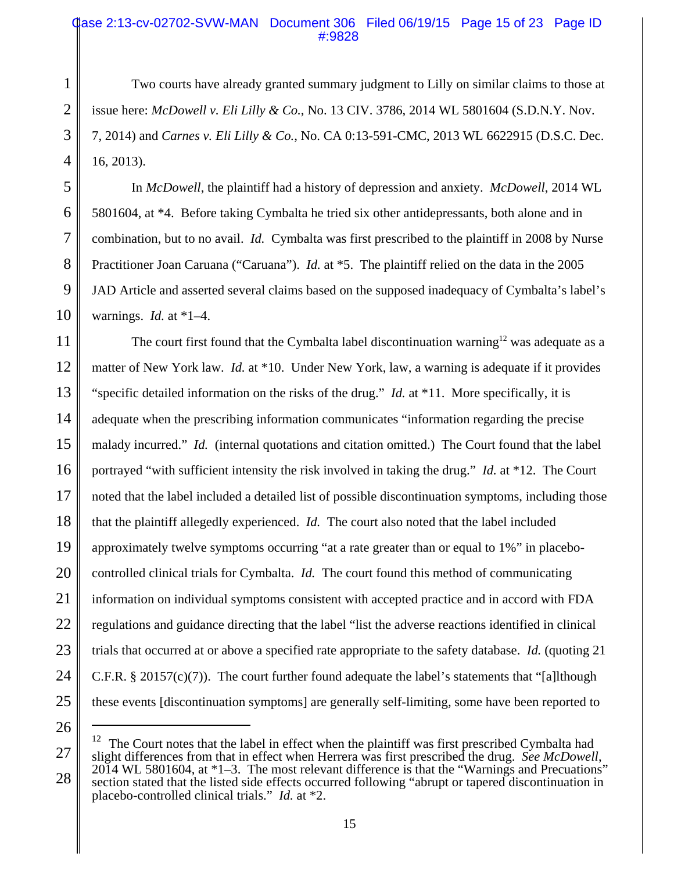## Case 2:13-cv-02702-SVW-MAN Document 306 Filed 06/19/15 Page 15 of 23 Page ID #:9828

Two courts have already granted summary judgment to Lilly on similar claims to those at issue here: *McDowell v. Eli Lilly & Co.*, No. 13 CIV. 3786, 2014 WL 5801604 (S.D.N.Y. Nov. 7, 2014) and *Carnes v. Eli Lilly & Co.*, No. CA 0:13-591-CMC, 2013 WL 6622915 (D.S.C. Dec. 16, 2013).

In *McDowell*, the plaintiff had a history of depression and anxiety. *McDowell*, 2014 WL 5801604, at \*4. Before taking Cymbalta he tried six other antidepressants, both alone and in combination, but to no avail. *Id.* Cymbalta was first prescribed to the plaintiff in 2008 by Nurse Practitioner Joan Caruana ("Caruana"). *Id.* at \*5. The plaintiff relied on the data in the 2005 JAD Article and asserted several claims based on the supposed inadequacy of Cymbalta's label's warnings. *Id.* at \*1–4.

11 12 13 14 15 16 17 18 19 20 21 22 23 24 25 The court first found that the Cymbalta label discontinuation warning<sup>12</sup> was adequate as a matter of New York law. *Id.* at \*10. Under New York, law, a warning is adequate if it provides "specific detailed information on the risks of the drug." *Id.* at \*11. More specifically, it is adequate when the prescribing information communicates "information regarding the precise malady incurred." *Id.* (internal quotations and citation omitted.) The Court found that the label portrayed "with sufficient intensity the risk involved in taking the drug." *Id.* at \*12. The Court noted that the label included a detailed list of possible discontinuation symptoms, including those that the plaintiff allegedly experienced. *Id.* The court also noted that the label included approximately twelve symptoms occurring "at a rate greater than or equal to 1%" in placebocontrolled clinical trials for Cymbalta. *Id.* The court found this method of communicating information on individual symptoms consistent with accepted practice and in accord with FDA regulations and guidance directing that the label "list the adverse reactions identified in clinical trials that occurred at or above a specified rate appropriate to the safety database. *Id.* (quoting 21 C.F.R. § 20157(c)(7)). The court further found adequate the label's statements that "[a]lthough these events [discontinuation symptoms] are generally self-limiting, some have been reported to

26

1

2

3

4

5

6

7

8

9

<sup>27</sup> 28 <sup>12</sup> The Court notes that the label in effect when the plaintiff was first prescribed Cymbalta had slight differences from that in effect when Herrera was first prescribed the drug. *See McDowell*, 2014 WL 5801604, at \*1–3. The most relevant difference is that the "Warnings and Precuations" section stated that the listed side effects occurred following "abrupt or tapered discontinuation in placebo-controlled clinical trials." *Id.* at \*2.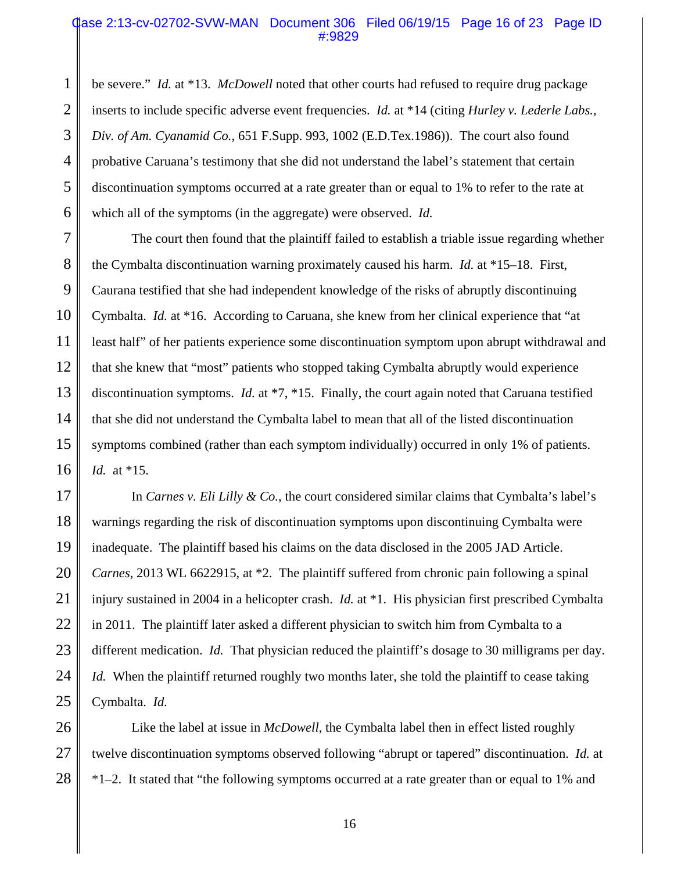#### Case 2:13-cv-02702-SVW-MAN Document 306 Filed 06/19/15 Page 16 of 23 Page ID #:9829

1 2 3 4 5 6 be severe." *Id.* at \*13. *McDowell* noted that other courts had refused to require drug package inserts to include specific adverse event frequencies. *Id.* at \*14 (citing *Hurley v. Lederle Labs., Div. of Am. Cyanamid Co.*, 651 F.Supp. 993, 1002 (E.D.Tex.1986)). The court also found probative Caruana's testimony that she did not understand the label's statement that certain discontinuation symptoms occurred at a rate greater than or equal to 1% to refer to the rate at which all of the symptoms (in the aggregate) were observed. *Id.*

7 8 9 10 11 12 13 14 15 16 The court then found that the plaintiff failed to establish a triable issue regarding whether the Cymbalta discontinuation warning proximately caused his harm. *Id.* at \*15–18. First, Caurana testified that she had independent knowledge of the risks of abruptly discontinuing Cymbalta. *Id.* at \*16. According to Caruana, she knew from her clinical experience that "at least half" of her patients experience some discontinuation symptom upon abrupt withdrawal and that she knew that "most" patients who stopped taking Cymbalta abruptly would experience discontinuation symptoms. *Id.* at \*7, \*15. Finally, the court again noted that Caruana testified that she did not understand the Cymbalta label to mean that all of the listed discontinuation symptoms combined (rather than each symptom individually) occurred in only 1% of patients. *Id.* at \*15.

17 18 19 20 21 22 23 24 25 In *Carnes v. Eli Lilly & Co.*, the court considered similar claims that Cymbalta's label's warnings regarding the risk of discontinuation symptoms upon discontinuing Cymbalta were inadequate. The plaintiff based his claims on the data disclosed in the 2005 JAD Article. *Carnes*, 2013 WL 6622915, at \*2. The plaintiff suffered from chronic pain following a spinal injury sustained in 2004 in a helicopter crash. *Id.* at \*1. His physician first prescribed Cymbalta in 2011. The plaintiff later asked a different physician to switch him from Cymbalta to a different medication. *Id.* That physician reduced the plaintiff's dosage to 30 milligrams per day. *Id.* When the plaintiff returned roughly two months later, she told the plaintiff to cease taking Cymbalta. *Id.*

26 27 28 Like the label at issue in *McDowell*, the Cymbalta label then in effect listed roughly twelve discontinuation symptoms observed following "abrupt or tapered" discontinuation. *Id.* at \*1–2. It stated that "the following symptoms occurred at a rate greater than or equal to 1% and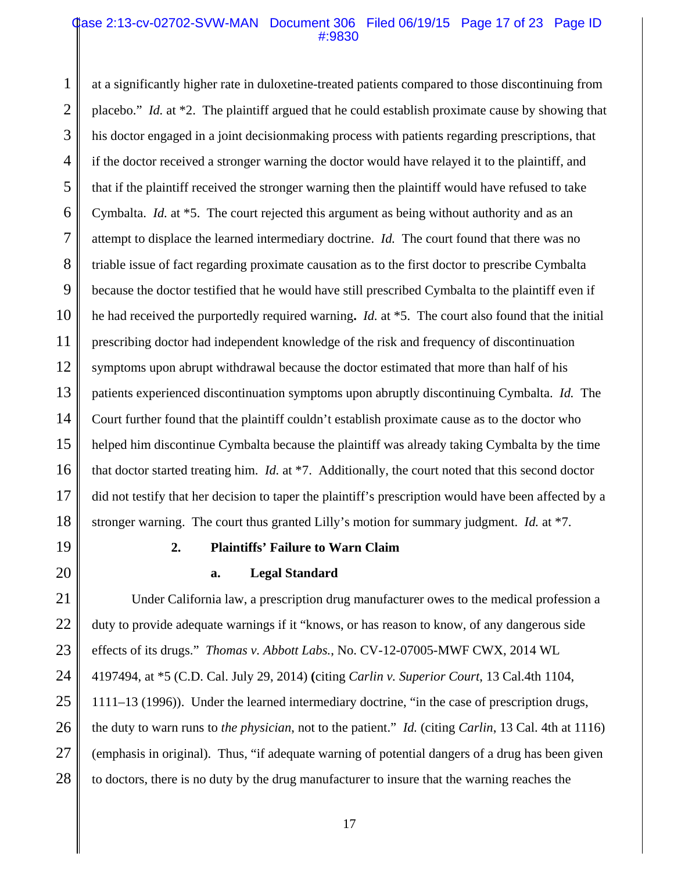#### Case 2:13-cv-02702-SVW-MAN Document 306 Filed 06/19/15 Page 17 of 23 Page ID #:9830

1 2 3 4 5 6 7 8 9 10 11 12 13 14 15 16 17 18 at a significantly higher rate in duloxetine-treated patients compared to those discontinuing from placebo." *Id.* at \*2. The plaintiff argued that he could establish proximate cause by showing that his doctor engaged in a joint decisionmaking process with patients regarding prescriptions, that if the doctor received a stronger warning the doctor would have relayed it to the plaintiff, and that if the plaintiff received the stronger warning then the plaintiff would have refused to take Cymbalta. *Id.* at \*5. The court rejected this argument as being without authority and as an attempt to displace the learned intermediary doctrine. *Id.* The court found that there was no triable issue of fact regarding proximate causation as to the first doctor to prescribe Cymbalta because the doctor testified that he would have still prescribed Cymbalta to the plaintiff even if he had received the purportedly required warning**.** *Id.* at \*5. The court also found that the initial prescribing doctor had independent knowledge of the risk and frequency of discontinuation symptoms upon abrupt withdrawal because the doctor estimated that more than half of his patients experienced discontinuation symptoms upon abruptly discontinuing Cymbalta. *Id.* The Court further found that the plaintiff couldn't establish proximate cause as to the doctor who helped him discontinue Cymbalta because the plaintiff was already taking Cymbalta by the time that doctor started treating him. *Id.* at \*7. Additionally, the court noted that this second doctor did not testify that her decision to taper the plaintiff's prescription would have been affected by a stronger warning. The court thus granted Lilly's motion for summary judgment. *Id.* at \*7.

19 20

# **2. Plaintiffs' Failure to Warn Claim**

#### **a. Legal Standard**

21 22 23 24 25 26 27 28 Under California law, a prescription drug manufacturer owes to the medical profession a duty to provide adequate warnings if it "knows, or has reason to know, of any dangerous side effects of its drugs." *Thomas v. Abbott Labs.*, No. CV-12-07005-MWF CWX, 2014 WL 4197494, at \*5 (C.D. Cal. July 29, 2014) **(**citing *Carlin v. Superior Court*, 13 Cal.4th 1104, 1111–13 (1996)). Under the learned intermediary doctrine, "in the case of prescription drugs, the duty to warn runs to *the physician*, not to the patient." *Id.* (citing *Carlin*, 13 Cal. 4th at 1116) (emphasis in original). Thus, "if adequate warning of potential dangers of a drug has been given to doctors, there is no duty by the drug manufacturer to insure that the warning reaches the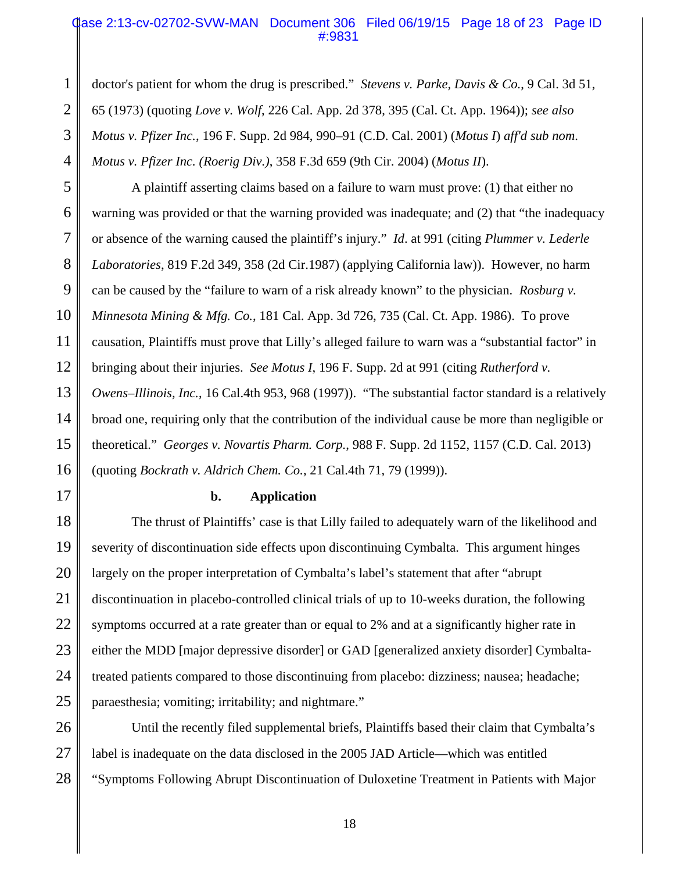## Case 2:13-cv-02702-SVW-MAN Document 306 Filed 06/19/15 Page 18 of 23 Page ID #:9831

doctor's patient for whom the drug is prescribed." *Stevens v. Parke, Davis & Co.*, 9 Cal. 3d 51, 65 (1973) (quoting *Love v. Wolf*, 226 Cal. App. 2d 378, 395 (Cal. Ct. App. 1964)); *see also Motus v. Pfizer Inc.*, 196 F. Supp. 2d 984, 990–91 (C.D. Cal. 2001) (*Motus I*) *aff'd sub nom*. *Motus v. Pfizer Inc. (Roerig Div.)*, 358 F.3d 659 (9th Cir. 2004) (*Motus II*).

5 6 7 8 9 10 11 12 13 14 15 16 A plaintiff asserting claims based on a failure to warn must prove: (1) that either no warning was provided or that the warning provided was inadequate; and (2) that "the inadequacy or absence of the warning caused the plaintiff's injury." *Id*. at 991 (citing *Plummer v. Lederle Laboratories*, 819 F.2d 349, 358 (2d Cir.1987) (applying California law)).However, no harm can be caused by the "failure to warn of a risk already known" to the physician. *Rosburg v. Minnesota Mining & Mfg. Co.*, 181 Cal. App. 3d 726, 735 (Cal. Ct. App. 1986). To prove causation, Plaintiffs must prove that Lilly's alleged failure to warn was a "substantial factor" in bringing about their injuries. *See Motus I*, 196 F. Supp. 2d at 991 (citing *Rutherford v. Owens–Illinois, Inc.*, 16 Cal.4th 953, 968 (1997))."The substantial factor standard is a relatively broad one, requiring only that the contribution of the individual cause be more than negligible or theoretical." *Georges v. Novartis Pharm. Corp.*, 988 F. Supp. 2d 1152, 1157 (C.D. Cal. 2013) (quoting *Bockrath v. Aldrich Chem. Co.*, 21 Cal.4th 71, 79 (1999)).

17

1

2

3

4

#### **b. Application**

18 19 20 21 22 23 24 25 The thrust of Plaintiffs' case is that Lilly failed to adequately warn of the likelihood and severity of discontinuation side effects upon discontinuing Cymbalta. This argument hinges largely on the proper interpretation of Cymbalta's label's statement that after "abrupt discontinuation in placebo-controlled clinical trials of up to 10-weeks duration, the following symptoms occurred at a rate greater than or equal to 2% and at a significantly higher rate in either the MDD [major depressive disorder] or GAD [generalized anxiety disorder] Cymbaltatreated patients compared to those discontinuing from placebo: dizziness; nausea; headache; paraesthesia; vomiting; irritability; and nightmare."

26 27 28 Until the recently filed supplemental briefs, Plaintiffs based their claim that Cymbalta's label is inadequate on the data disclosed in the 2005 JAD Article—which was entitled "Symptoms Following Abrupt Discontinuation of Duloxetine Treatment in Patients with Major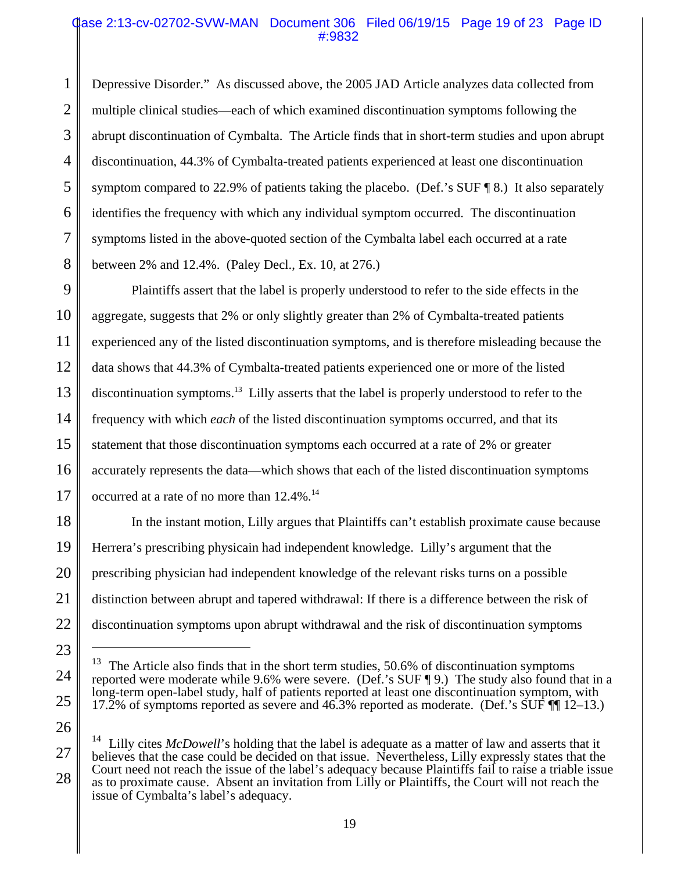## Qase 2:13-cv-02702-SVW-MAN Document 306 Filed 06/19/15 Page 19 of 23 Page ID #:9832

1 2 3 4 5 6 7 8 Depressive Disorder." As discussed above, the 2005 JAD Article analyzes data collected from multiple clinical studies—each of which examined discontinuation symptoms following the abrupt discontinuation of Cymbalta. The Article finds that in short-term studies and upon abrupt discontinuation, 44.3% of Cymbalta-treated patients experienced at least one discontinuation symptom compared to 22.9% of patients taking the placebo. (Def.'s SUF ¶ 8.) It also separately identifies the frequency with which any individual symptom occurred. The discontinuation symptoms listed in the above-quoted section of the Cymbalta label each occurred at a rate between 2% and 12.4%. (Paley Decl., Ex. 10, at 276.)

9 10 11 12 13 14 15 16 17 Plaintiffs assert that the label is properly understood to refer to the side effects in the aggregate, suggests that 2% or only slightly greater than 2% of Cymbalta-treated patients experienced any of the listed discontinuation symptoms, and is therefore misleading because the data shows that 44.3% of Cymbalta-treated patients experienced one or more of the listed discontinuation symptoms.<sup>13</sup> Lilly asserts that the label is properly understood to refer to the frequency with which *each* of the listed discontinuation symptoms occurred, and that its statement that those discontinuation symptoms each occurred at a rate of 2% or greater accurately represents the data—which shows that each of the listed discontinuation symptoms occurred at a rate of no more than 12.4%.<sup>14</sup>

18 19 20 21 22 In the instant motion, Lilly argues that Plaintiffs can't establish proximate cause because Herrera's prescribing physicain had independent knowledge. Lilly's argument that the prescribing physician had independent knowledge of the relevant risks turns on a possible distinction between abrupt and tapered withdrawal: If there is a difference between the risk of discontinuation symptoms upon abrupt withdrawal and the risk of discontinuation symptoms

23

24

25

 $13$  The Article also finds that in the short term studies, 50.6% of discontinuation symptoms reported were moderate while 9.6% were severe. (Def.'s SUF ¶ 9.) The study also found that in a long-term open-label study, half of patients reported at least one discontinuation symptom, with 17.2% of symptoms reported as severe and 46.3% reported as moderate. (Def.'s SUF ¶¶ 12–13.)

<sup>27</sup> 28 <sup>14</sup> Lilly cites *McDowell*'s holding that the label is adequate as a matter of law and asserts that it believes that the case could be decided on that issue. Nevertheless, Lilly expressly states that the Court need not reach the issue of the label's adequacy because Plaintiffs fail to raise a triable issue as to proximate cause. Absent an invitation from Lilly or Plaintiffs, the Court will not reach the issue of Cymbalta's label's adequacy.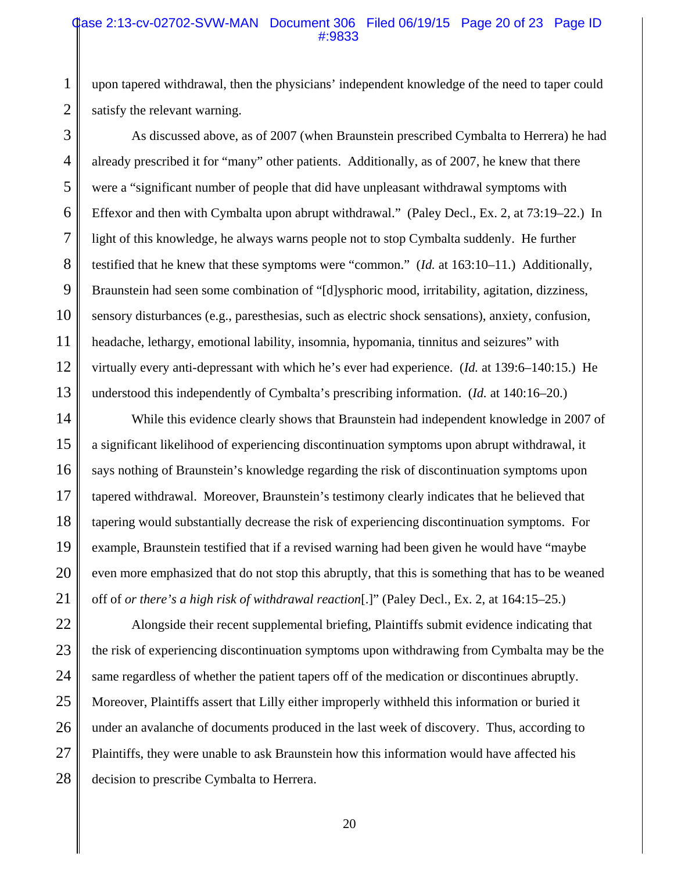#### Case 2:13-cv-02702-SVW-MAN Document 306 Filed 06/19/15 Page 20 of 23 Page ID #:9833

upon tapered withdrawal, then the physicians' independent knowledge of the need to taper could satisfy the relevant warning.

1

2

3 4 5 6 7 8 9 10 11 12 13 As discussed above, as of 2007 (when Braunstein prescribed Cymbalta to Herrera) he had already prescribed it for "many" other patients. Additionally, as of 2007, he knew that there were a "significant number of people that did have unpleasant withdrawal symptoms with Effexor and then with Cymbalta upon abrupt withdrawal." (Paley Decl., Ex. 2, at 73:19–22.) In light of this knowledge, he always warns people not to stop Cymbalta suddenly. He further testified that he knew that these symptoms were "common." (*Id.* at 163:10–11.) Additionally, Braunstein had seen some combination of "[d]ysphoric mood, irritability, agitation, dizziness, sensory disturbances (e.g., paresthesias, such as electric shock sensations), anxiety, confusion, headache, lethargy, emotional lability, insomnia, hypomania, tinnitus and seizures" with virtually every anti-depressant with which he's ever had experience. (*Id.* at 139:6–140:15.) He understood this independently of Cymbalta's prescribing information. (*Id.* at 140:16–20.)

14 15 16 17 18 19 20 21 While this evidence clearly shows that Braunstein had independent knowledge in 2007 of a significant likelihood of experiencing discontinuation symptoms upon abrupt withdrawal, it says nothing of Braunstein's knowledge regarding the risk of discontinuation symptoms upon tapered withdrawal. Moreover, Braunstein's testimony clearly indicates that he believed that tapering would substantially decrease the risk of experiencing discontinuation symptoms. For example, Braunstein testified that if a revised warning had been given he would have "maybe even more emphasized that do not stop this abruptly, that this is something that has to be weaned off of *or there's a high risk of withdrawal reaction*[.]" (Paley Decl., Ex. 2, at 164:15–25.)

22 23 24 25 26 27 28 Alongside their recent supplemental briefing, Plaintiffs submit evidence indicating that the risk of experiencing discontinuation symptoms upon withdrawing from Cymbalta may be the same regardless of whether the patient tapers off of the medication or discontinues abruptly. Moreover, Plaintiffs assert that Lilly either improperly withheld this information or buried it under an avalanche of documents produced in the last week of discovery. Thus, according to Plaintiffs, they were unable to ask Braunstein how this information would have affected his decision to prescribe Cymbalta to Herrera.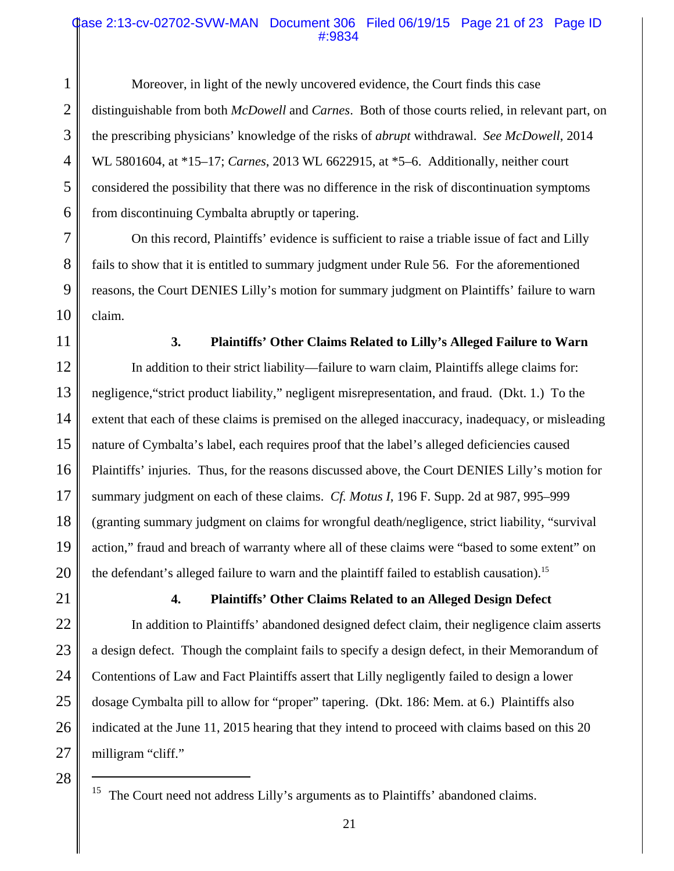## Case 2:13-cv-02702-SVW-MAN Document 306 Filed 06/19/15 Page 21 of 23 Page ID #:9834

1 2 3 4 5 6 Moreover, in light of the newly uncovered evidence, the Court finds this case distinguishable from both *McDowell* and *Carnes*. Both of those courts relied, in relevant part, on the prescribing physicians' knowledge of the risks of *abrupt* withdrawal. *See McDowell*, 2014 WL 5801604, at \*15–17; *Carnes*, 2013 WL 6622915, at \*5–6. Additionally, neither court considered the possibility that there was no difference in the risk of discontinuation symptoms from discontinuing Cymbalta abruptly or tapering.

7 10 On this record, Plaintiffs' evidence is sufficient to raise a triable issue of fact and Lilly fails to show that it is entitled to summary judgment under Rule 56. For the aforementioned reasons, the Court DENIES Lilly's motion for summary judgment on Plaintiffs' failure to warn claim.

11

8

9

#### **3. Plaintiffs' Other Claims Related to Lilly's Alleged Failure to Warn**

12 13 14 15 16 17 18 19 20 In addition to their strict liability—failure to warn claim, Plaintiffs allege claims for: negligence,"strict product liability," negligent misrepresentation, and fraud. (Dkt. 1.)To the extent that each of these claims is premised on the alleged inaccuracy, inadequacy, or misleading nature of Cymbalta's label, each requires proof that the label's alleged deficiencies caused Plaintiffs' injuries. Thus, for the reasons discussed above, the Court DENIES Lilly's motion for summary judgment on each of these claims. *Cf. Motus I*, 196 F. Supp. 2d at 987, 995–999 (granting summary judgment on claims for wrongful death/negligence, strict liability, "survival action," fraud and breach of warranty where all of these claims were "based to some extent" on the defendant's alleged failure to warn and the plaintiff failed to establish causation).<sup>15</sup>

21

22

23

24

25

26

# **4. Plaintiffs' Other Claims Related to an Alleged Design Defect**

In addition to Plaintiffs' abandoned designed defect claim, their negligence claim asserts a design defect. Though the complaint fails to specify a design defect, in their Memorandum of Contentions of Law and Fact Plaintiffs assert that Lilly negligently failed to design a lower dosage Cymbalta pill to allow for "proper" tapering. (Dkt. 186: Mem. at 6.) Plaintiffs also indicated at the June 11, 2015 hearing that they intend to proceed with claims based on this 20 milligram "cliff."

<sup>28</sup>

The Court need not address Lilly's arguments as to Plaintiffs' abandoned claims.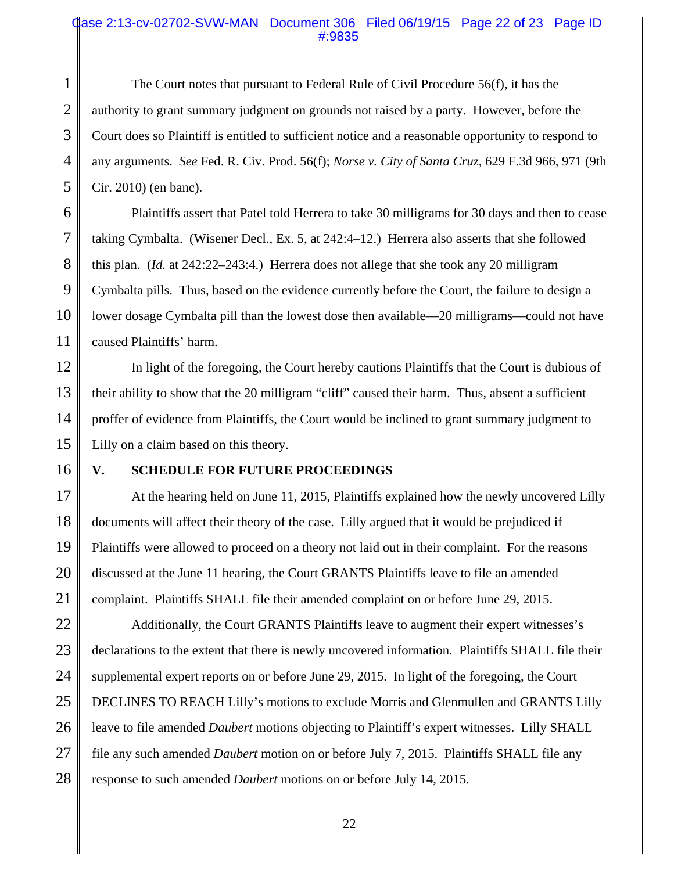#### Case 2:13-cv-02702-SVW-MAN Document 306 Filed 06/19/15 Page 22 of 23 Page ID #:9835

2 3 4 5 The Court notes that pursuant to Federal Rule of Civil Procedure 56(f), it has the authority to grant summary judgment on grounds not raised by a party. However, before the Court does so Plaintiff is entitled to sufficient notice and a reasonable opportunity to respond to any arguments. *See* Fed. R. Civ. Prod. 56(f); *Norse v. City of Santa Cruz*, 629 F.3d 966, 971 (9th Cir. 2010) (en banc).

6 Plaintiffs assert that Patel told Herrera to take 30 milligrams for 30 days and then to cease taking Cymbalta. (Wisener Decl., Ex. 5, at 242:4–12.) Herrera also asserts that she followed this plan. (*Id.* at 242:22–243:4.) Herrera does not allege that she took any 20 milligram Cymbalta pills. Thus, based on the evidence currently before the Court, the failure to design a lower dosage Cymbalta pill than the lowest dose then available—20 milligrams—could not have caused Plaintiffs' harm.

12 13 14 15 In light of the foregoing, the Court hereby cautions Plaintiffs that the Court is dubious of their ability to show that the 20 milligram "cliff" caused their harm. Thus, absent a sufficient proffer of evidence from Plaintiffs, the Court would be inclined to grant summary judgment to Lilly on a claim based on this theory.

16

1

7

8

9

10

11

#### **V. SCHEDULE FOR FUTURE PROCEEDINGS**

17 18 19 20 21 At the hearing held on June 11, 2015, Plaintiffs explained how the newly uncovered Lilly documents will affect their theory of the case. Lilly argued that it would be prejudiced if Plaintiffs were allowed to proceed on a theory not laid out in their complaint. For the reasons discussed at the June 11 hearing, the Court GRANTS Plaintiffs leave to file an amended complaint. Plaintiffs SHALL file their amended complaint on or before June 29, 2015.

22 23 24 25 26 27 28 Additionally, the Court GRANTS Plaintiffs leave to augment their expert witnesses's declarations to the extent that there is newly uncovered information. Plaintiffs SHALL file their supplemental expert reports on or before June 29, 2015. In light of the foregoing, the Court DECLINES TO REACH Lilly's motions to exclude Morris and Glenmullen and GRANTS Lilly leave to file amended *Daubert* motions objecting to Plaintiff's expert witnesses. Lilly SHALL file any such amended *Daubert* motion on or before July 7, 2015. Plaintiffs SHALL file any response to such amended *Daubert* motions on or before July 14, 2015.